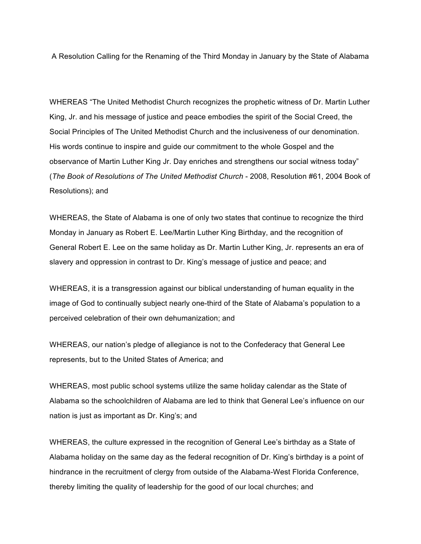A Resolution Calling for the Renaming of the Third Monday in January by the State of Alabama

WHEREAS "The United Methodist Church recognizes the prophetic witness of Dr. Martin Luther King, Jr. and his message of justice and peace embodies the spirit of the Social Creed, the Social Principles of The United Methodist Church and the inclusiveness of our denomination. His words continue to inspire and guide our commitment to the whole Gospel and the observance of Martin Luther King Jr. Day enriches and strengthens our social witness today" (*The Book of Resolutions of The United Methodist Church* - 2008, Resolution #61, 2004 Book of Resolutions); and

WHEREAS, the State of Alabama is one of only two states that continue to recognize the third Monday in January as Robert E. Lee/Martin Luther King Birthday, and the recognition of General Robert E. Lee on the same holiday as Dr. Martin Luther King, Jr. represents an era of slavery and oppression in contrast to Dr. King's message of justice and peace; and

WHEREAS, it is a transgression against our biblical understanding of human equality in the image of God to continually subject nearly one-third of the State of Alabama's population to a perceived celebration of their own dehumanization; and

WHEREAS, our nation's pledge of allegiance is not to the Confederacy that General Lee represents, but to the United States of America; and

WHEREAS, most public school systems utilize the same holiday calendar as the State of Alabama so the schoolchildren of Alabama are led to think that General Lee's influence on our nation is just as important as Dr. King's; and

WHEREAS, the culture expressed in the recognition of General Lee's birthday as a State of Alabama holiday on the same day as the federal recognition of Dr. King's birthday is a point of hindrance in the recruitment of clergy from outside of the Alabama-West Florida Conference, thereby limiting the quality of leadership for the good of our local churches; and